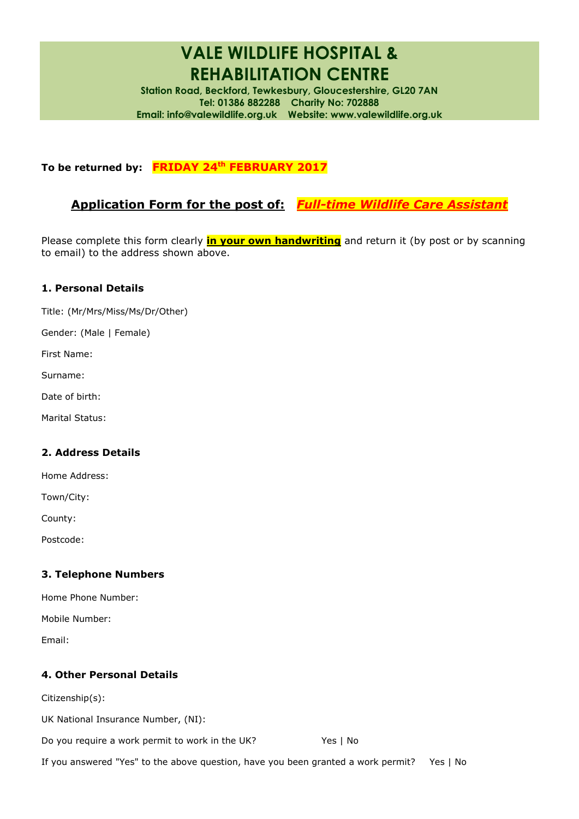# **VALE WILDLIFE HOSPITAL & REHABILITATION CENTRE**

**Station Road, Beckford, Tewkesbury, Gloucestershire, GL20 7AN Tel: 01386 882288 Charity No: 702888 Email: [info@valewildlife.org.uk](mailto:info@valewildlife.org.uk) Website: www.valewildlife.org.uk**

# **To be returned by: FRIDAY 24 th FEBRUARY 2017**

# **Application Form for the post of:** *Full-time Wildlife Care Assistant*

Please complete this form clearly **in your own handwriting** and return it (by post or by scanning to email) to the address shown above.

### **1. Personal Details**

Title: (Mr/Mrs/Miss/Ms/Dr/Other)

Gender: (Male | Female)

First Name:

- Surname:
- Date of birth:
- Marital Status:

#### **2. Address Details**

Home Address:

Town/City:

County:

Postcode:

#### **3. Telephone Numbers**

| Home Phone Number: |  |
|--------------------|--|
|--------------------|--|

Mobile Number:

Email:

#### **4. Other Personal Details**

Citizenship(s):

UK National Insurance Number, (NI):

Do you require a work permit to work in the UK? Yes | No

If you answered "Yes" to the above question, have you been granted a work permit? Yes | No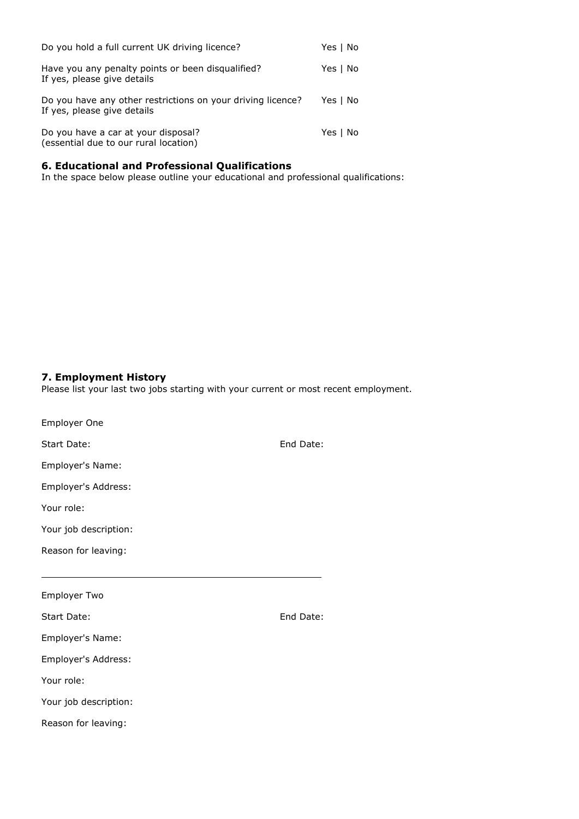| Do you hold a full current UK driving licence?                                             | Yes   No |
|--------------------------------------------------------------------------------------------|----------|
| Have you any penalty points or been disqualified?<br>If yes, please give details           | Yes   No |
| Do you have any other restrictions on your driving licence?<br>If yes, please give details | Yes   No |
| Do you have a car at your disposal?<br>(essential due to our rural location)               | Yes   No |

#### **6. Educational and Professional Qualifications**

In the space below please outline your educational and professional qualifications:

#### **7. Employment History**

Please list your last two jobs starting with your current or most recent employment.

| Employer One          |           |
|-----------------------|-----------|
| Start Date:           | End Date: |
| Employer's Name:      |           |
| Employer's Address:   |           |
| Your role:            |           |
| Your job description: |           |
| Reason for leaving:   |           |
|                       |           |
| <b>Employer Two</b>   |           |
| Start Date:           | End Date: |
| Employer's Name:      |           |
| Employer's Address:   |           |
| Your role:            |           |
| Your job description: |           |
| Reason for leaving:   |           |
|                       |           |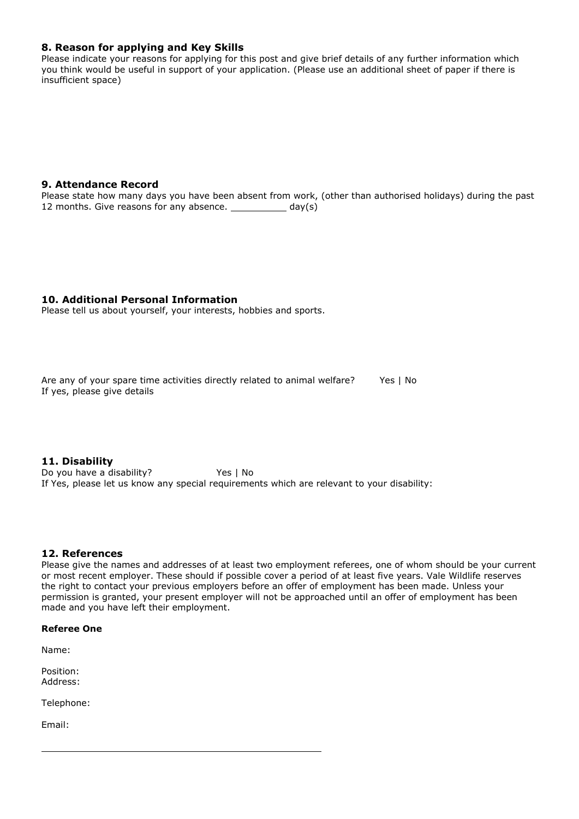#### **8. Reason for applying and Key Skills**

Please indicate your reasons for applying for this post and give brief details of any further information which you think would be useful in support of your application. (Please use an additional sheet of paper if there is insufficient space)

#### **9. Attendance Record**

Please state how many days you have been absent from work, (other than authorised holidays) during the past 12 months. Give reasons for any absence.  $\_\_$  day(s)

#### **10. Additional Personal Information**

Please tell us about yourself, your interests, hobbies and sports.

Are any of your spare time activities directly related to animal welfare? Yes | No If yes, please give details

**11. Disability** Do you have a disability? Yes | No If Yes, please let us know any special requirements which are relevant to your disability:

#### **12. References**

Please give the names and addresses of at least two employment referees, one of whom should be your current or most recent employer. These should if possible cover a period of at least five years. Vale Wildlife reserves the right to contact your previous employers before an offer of employment has been made. Unless your permission is granted, your present employer will not be approached until an offer of employment has been made and you have left their employment.

#### **Referee One**

Name:

Position: Address:

Telephone:

Email: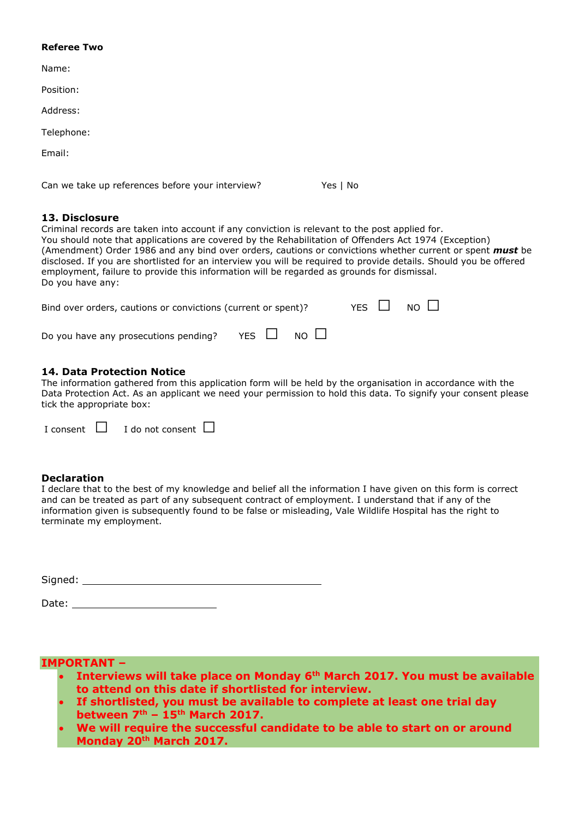#### **Referee Two**

| Name:                                            |          |
|--------------------------------------------------|----------|
| Position:                                        |          |
| Address:                                         |          |
| Telephone:                                       |          |
| Email:                                           |          |
|                                                  |          |
| Can we take up references before your interview? | Yes   No |

#### **13. Disclosure**

Criminal records are taken into account if any conviction is relevant to the post applied for. You should note that applications are covered by the Rehabilitation of Offenders Act 1974 (Exception) (Amendment) Order 1986 and any bind over orders, cautions or convictions whether current or spent *must* be disclosed. If you are shortlisted for an interview you will be required to provide details. Should you be offered employment, failure to provide this information will be regarded as grounds for dismissal. Do you have any:

| Bind over orders, cautions or convictions (current or spent)? |  |  | YES $\Box$ NO $\Box$ |  |
|---------------------------------------------------------------|--|--|----------------------|--|
| Do you have any prosecutions pending? YES $\Box$ NO $\Box$    |  |  |                      |  |

#### **14. Data Protection Notice**

The information gathered from this application form will be held by the organisation in accordance with the Data Protection Act. As an applicant we need your permission to hold this data. To signify your consent please tick the appropriate box:

|  | I consent $\Box$ I do not consent $\Box$ |  |
|--|------------------------------------------|--|

#### **Declaration**

I declare that to the best of my knowledge and belief all the information I have given on this form is correct and can be treated as part of any subsequent contract of employment. I understand that if any of the information given is subsequently found to be false or misleading, Vale Wildlife Hospital has the right to terminate my employment.

#### **IMPORTANT –**

- **Interviews will take place on Monday 6th March 2017. You must be available to attend on this date if shortlisted for interview.**
- **If shortlisted, you must be available to complete at least one trial day between 7 th – 15th March 2017.**
- **We will require the successful candidate to be able to start on or around Monday 20th March 2017.**